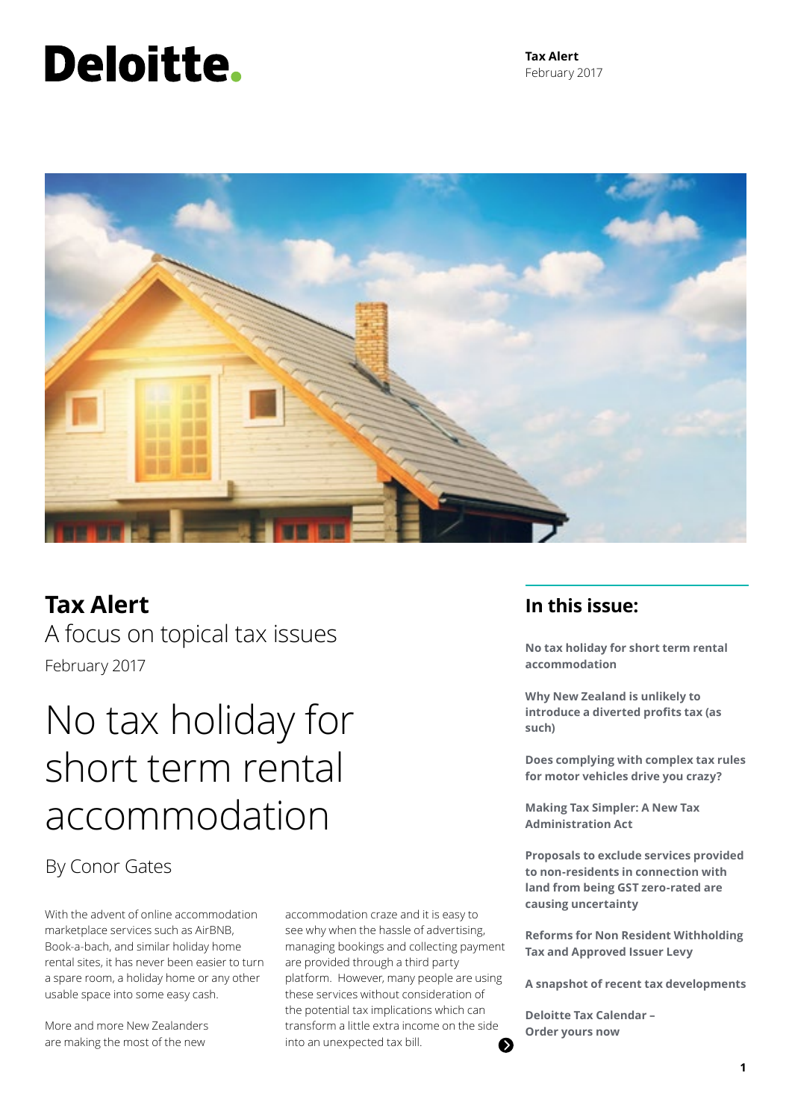# Deloitte.

**Tax Alert** February 2017



### **Tax Alert**

A focus on topical tax issues February 2017

## No tax holiday for short term rental accommodation

By Conor Gates

With the advent of online accommodation marketplace services such as AirBNB, Book-a-bach, and similar holiday home rental sites, it has never been easier to turn a spare room, a holiday home or any other usable space into some easy cash.

More and more New Zealanders are making the most of the new

accommodation craze and it is easy to see why when the hassle of advertising, managing bookings and collecting payment are provided through a third party platform. However, many people are using these services without consideration of the potential tax implications which can transform a little extra income on the side into an unexpected tax bill. 6

### **In this issue:**

**No tax holiday for short term rental accommodation**

**Why New Zealand is unlikely to introduce a diverted profits tax (as such)**

**Does complying with complex tax rules for motor vehicles drive you crazy?**

**Making Tax Simpler: A New Tax Administration Act**

**Proposals to exclude services provided to non-residents in connection with land from being GST zero-rated are causing uncertainty**

**Reforms for Non Resident Withholding Tax and Approved Issuer Levy**

**A snapshot of recent tax developments**

**Deloitte Tax Calendar – Order yours now**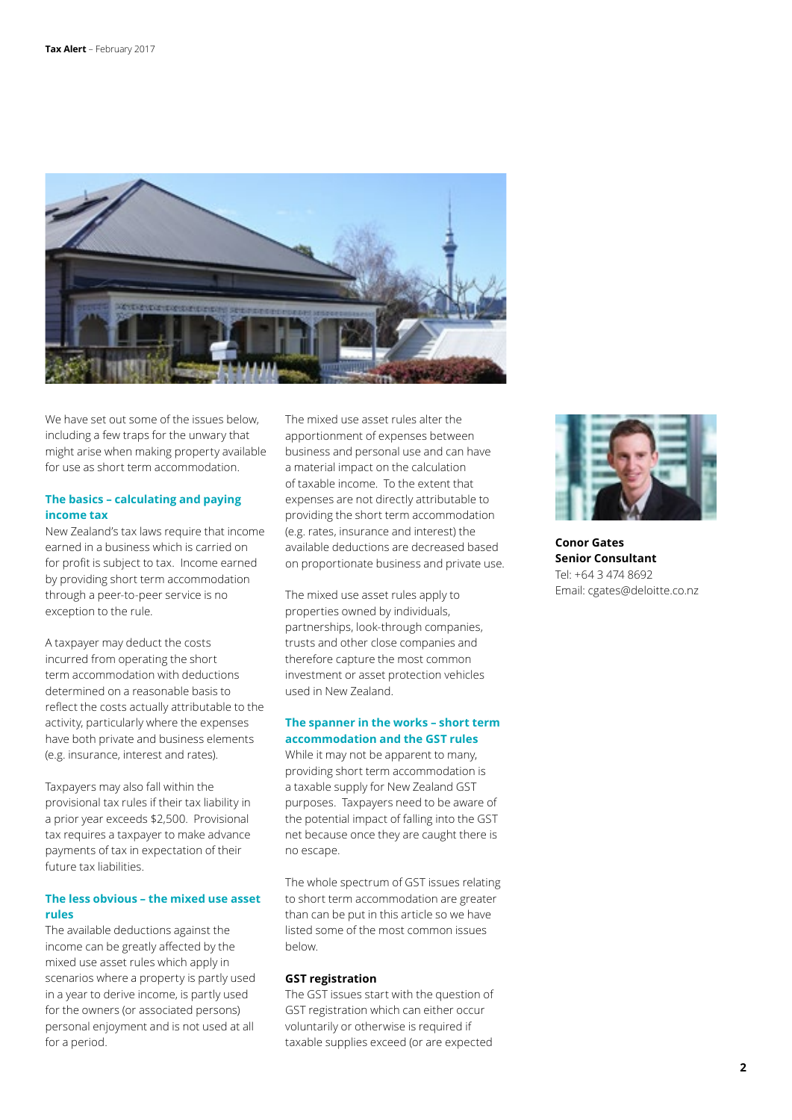

We have set out some of the issues below, including a few traps for the unwary that might arise when making property available for use as short term accommodation.

### **The basics – calculating and paying income tax**

New Zealand's tax laws require that income earned in a business which is carried on for profit is subject to tax. Income earned by providing short term accommodation through a peer-to-peer service is no exception to the rule.

A taxpayer may deduct the costs incurred from operating the short term accommodation with deductions determined on a reasonable basis to reflect the costs actually attributable to the activity, particularly where the expenses have both private and business elements (e.g. insurance, interest and rates).

Taxpayers may also fall within the provisional tax rules if their tax liability in a prior year exceeds \$2,500. Provisional tax requires a taxpayer to make advance payments of tax in expectation of their future tax liabilities.

### **The less obvious – the mixed use asset rules**

The available deductions against the income can be greatly affected by the mixed use asset rules which apply in scenarios where a property is partly used in a year to derive income, is partly used for the owners (or associated persons) personal enjoyment and is not used at all for a period.

The mixed use asset rules alter the apportionment of expenses between business and personal use and can have a material impact on the calculation of taxable income. To the extent that expenses are not directly attributable to providing the short term accommodation (e.g. rates, insurance and interest) the available deductions are decreased based on proportionate business and private use.

The mixed use asset rules apply to properties owned by individuals, partnerships, look-through companies, trusts and other close companies and therefore capture the most common investment or asset protection vehicles used in New Zealand.

### **The spanner in the works – short term accommodation and the GST rules**

While it may not be apparent to many, providing short term accommodation is a taxable supply for New Zealand GST purposes. Taxpayers need to be aware of the potential impact of falling into the GST net because once they are caught there is no escape.

The whole spectrum of GST issues relating to short term accommodation are greater than can be put in this article so we have listed some of the most common issues below.

#### **GST registration**

The GST issues start with the question of GST registration which can either occur voluntarily or otherwise is required if taxable supplies exceed (or are expected



**Conor Gates Senior Consultant** Tel: +64 3 474 8692 Email: cgates@deloitte.co.nz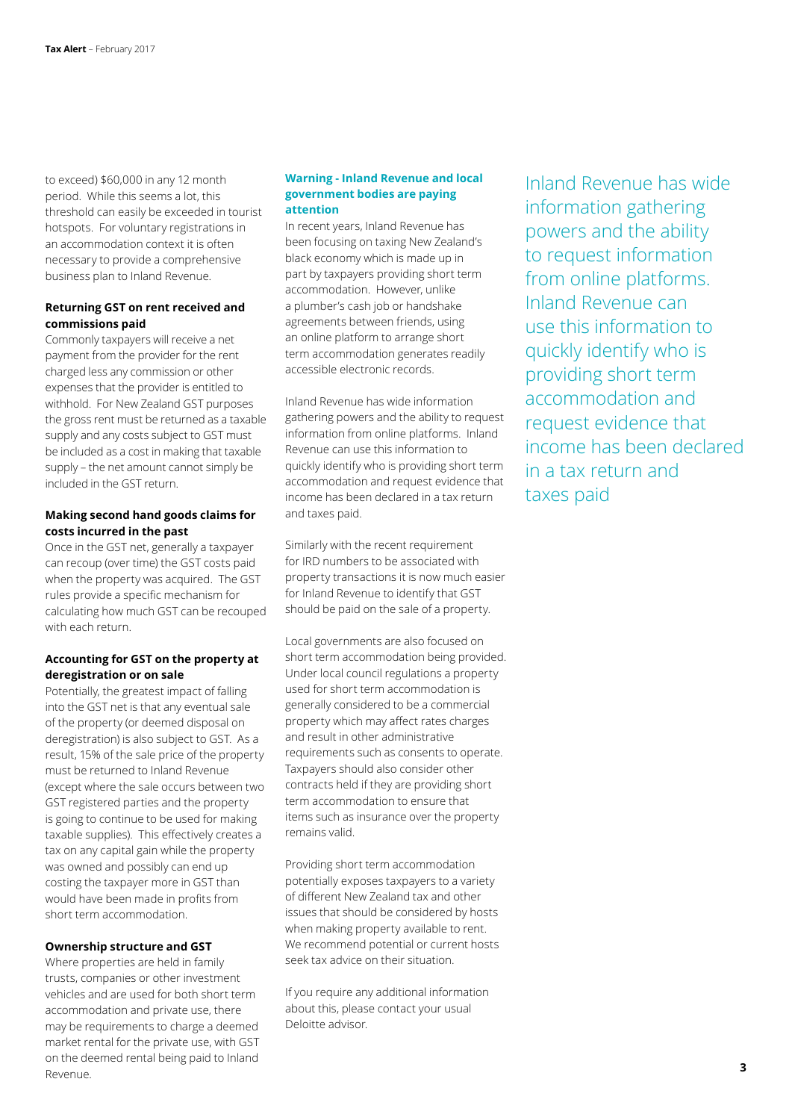to exceed) \$60,000 in any 12 month period. While this seems a lot, this threshold can easily be exceeded in tourist hotspots. For voluntary registrations in an accommodation context it is often necessary to provide a comprehensive business plan to Inland Revenue.

### **Returning GST on rent received and commissions paid**

Commonly taxpayers will receive a net payment from the provider for the rent charged less any commission or other expenses that the provider is entitled to withhold. For New Zealand GST purposes the gross rent must be returned as a taxable supply and any costs subject to GST must be included as a cost in making that taxable supply – the net amount cannot simply be included in the GST return.

### **Making second hand goods claims for costs incurred in the past**

Once in the GST net, generally a taxpayer can recoup (over time) the GST costs paid when the property was acquired. The GST rules provide a specific mechanism for calculating how much GST can be recouped with each return.

### **Accounting for GST on the property at deregistration or on sale**

Potentially, the greatest impact of falling into the GST net is that any eventual sale of the property (or deemed disposal on deregistration) is also subject to GST. As a result, 15% of the sale price of the property must be returned to Inland Revenue (except where the sale occurs between two GST registered parties and the property is going to continue to be used for making taxable supplies). This effectively creates a tax on any capital gain while the property was owned and possibly can end up costing the taxpayer more in GST than would have been made in profits from short term accommodation.

### **Ownership structure and GST**

Where properties are held in family trusts, companies or other investment vehicles and are used for both short term accommodation and private use, there may be requirements to charge a deemed market rental for the private use, with GST on the deemed rental being paid to Inland Revenue.

#### **Warning - Inland Revenue and local government bodies are paying attention**

In recent years, Inland Revenue has been focusing on taxing New Zealand's black economy which is made up in part by taxpayers providing short term accommodation. However, unlike a plumber's cash job or handshake agreements between friends, using an online platform to arrange short term accommodation generates readily accessible electronic records.

Inland Revenue has wide information gathering powers and the ability to request information from online platforms. Inland Revenue can use this information to quickly identify who is providing short term accommodation and request evidence that income has been declared in a tax return and taxes paid.

Similarly with the recent requirement for IRD numbers to be associated with property transactions it is now much easier for Inland Revenue to identify that GST should be paid on the sale of a property.

Local governments are also focused on short term accommodation being provided. Under local council regulations a property used for short term accommodation is generally considered to be a commercial property which may affect rates charges and result in other administrative requirements such as consents to operate. Taxpayers should also consider other contracts held if they are providing short term accommodation to ensure that items such as insurance over the property remains valid.

Providing short term accommodation potentially exposes taxpayers to a variety of different New Zealand tax and other issues that should be considered by hosts when making property available to rent. We recommend potential or current hosts seek tax advice on their situation.

If you require any additional information about this, please contact your usual Deloitte advisor.

Inland Revenue has wide information gathering powers and the ability to request information from online platforms. Inland Revenue can use this information to quickly identify who is providing short term accommodation and request evidence that income has been declared in a tax return and taxes paid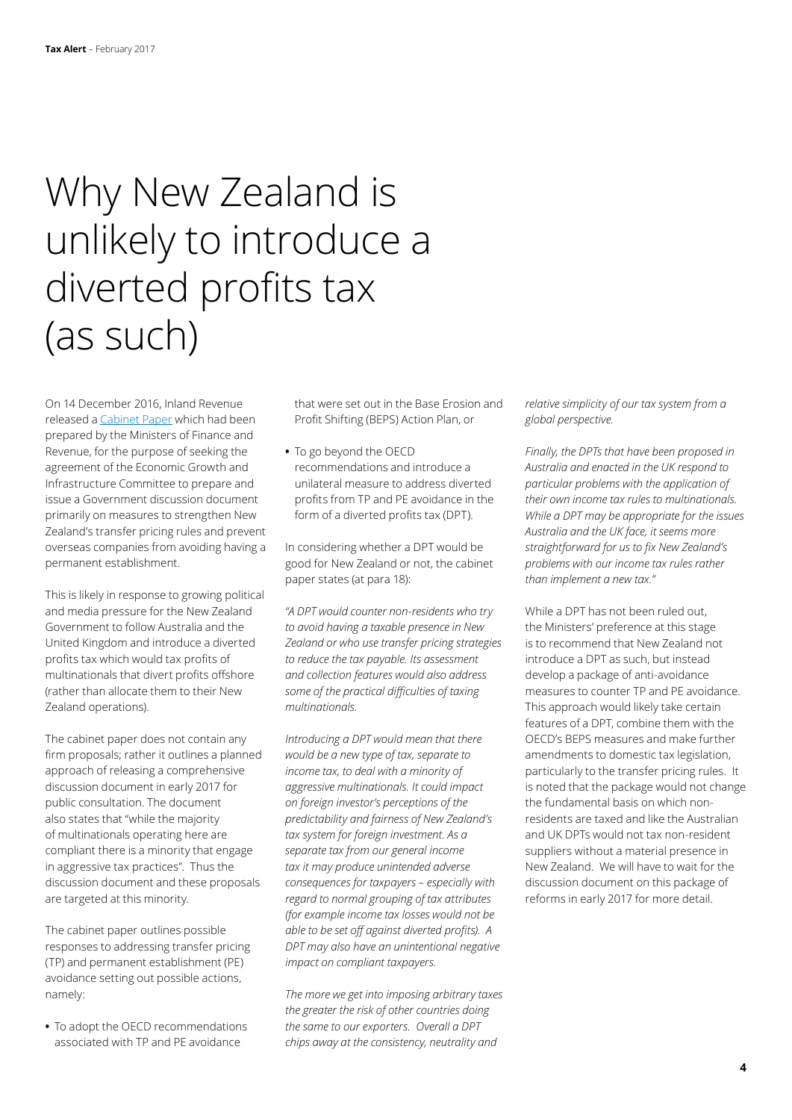## Why New Zealand is unlikely to introduce a diverted profits tax (as such)

On 14 December 2016, Inland Revenue released a [Cabinet Paper](http://taxpolicy.ird.govt.nz/sites/default/files/2016-other-cabinet-paper-transfer-pricing.pdf) which had been prepared by the Ministers of Finance and Revenue, for the purpose of seeking the agreement of the Economic Growth and Infrastructure Committee to prepare and issue a Government discussion document primarily on measures to strengthen New Zealand's transfer pricing rules and prevent overseas companies from avoiding having a permanent establishment.

This is likely in response to growing political and media pressure for the New Zealand Government to follow Australia and the United Kingdom and introduce a diverted profits tax which would tax profits of multinationals that divert profits offshore (rather than allocate them to their New Zealand operations).

The cabinet paper does not contain any firm proposals; rather it outlines a planned approach of releasing a comprehensive discussion document in early 2017 for public consultation. The document also states that "while the majority of multinationals operating here are compliant there is a minority that engage in aggressive tax practices". Thus the discussion document and these proposals are targeted at this minority.

The cabinet paper outlines possible responses to addressing transfer pricing (TP) and permanent establishment (PE) avoidance setting out possible actions, namely:

**•** To adopt the OECD recommendations associated with TP and PE avoidance

that were set out in the Base Erosion and Profit Shifting (BEPS) Action Plan, or

**•** To go beyond the OECD recommendations and introduce a unilateral measure to address diverted profits from TP and PE avoidance in the form of a diverted profits tax (DPT).

In considering whether a DPT would be good for New Zealand or not, the cabinet paper states (at para 18):

*"A DPT would counter non-residents who try to avoid having a taxable presence in New Zealand or who use transfer pricing strategies to reduce the tax payable. Its assessment and collection features would also address some of the practical difficulties of taxing multinationals.* 

*Introducing a DPT would mean that there would be a new type of tax, separate to income tax, to deal with a minority of aggressive multinationals. It could impact on foreign investor's perceptions of the predictability and fairness of New Zealand's tax system for foreign investment. As a separate tax from our general income tax it may produce unintended adverse consequences for taxpayers – especially with regard to normal grouping of tax attributes (for example income tax losses would not be able to be set off against diverted profits). A DPT may also have an unintentional negative impact on compliant taxpayers.* 

*The more we get into imposing arbitrary taxes the greater the risk of other countries doing the same to our exporters. Overall a DPT chips away at the consistency, neutrality and* 

*relative simplicity of our tax system from a global perspective.* 

*Finally, the DPTs that have been proposed in Australia and enacted in the UK respond to particular problems with the application of their own income tax rules to multinationals. While a DPT may be appropriate for the issues Australia and the UK face, it seems more straightforward for us to fix New Zealand's problems with our income tax rules rather than implement a new tax."* 

While a DPT has not been ruled out, the Ministers' preference at this stage is to recommend that New Zealand not introduce a DPT as such, but instead develop a package of anti-avoidance measures to counter TP and PE avoidance. This approach would likely take certain features of a DPT, combine them with the OECD's BEPS measures and make further amendments to domestic tax legislation, particularly to the transfer pricing rules. It is noted that the package would not change the fundamental basis on which nonresidents are taxed and like the Australian and UK DPTs would not tax non-resident suppliers without a material presence in New Zealand. We will have to wait for the discussion document on this package of reforms in early 2017 for more detail.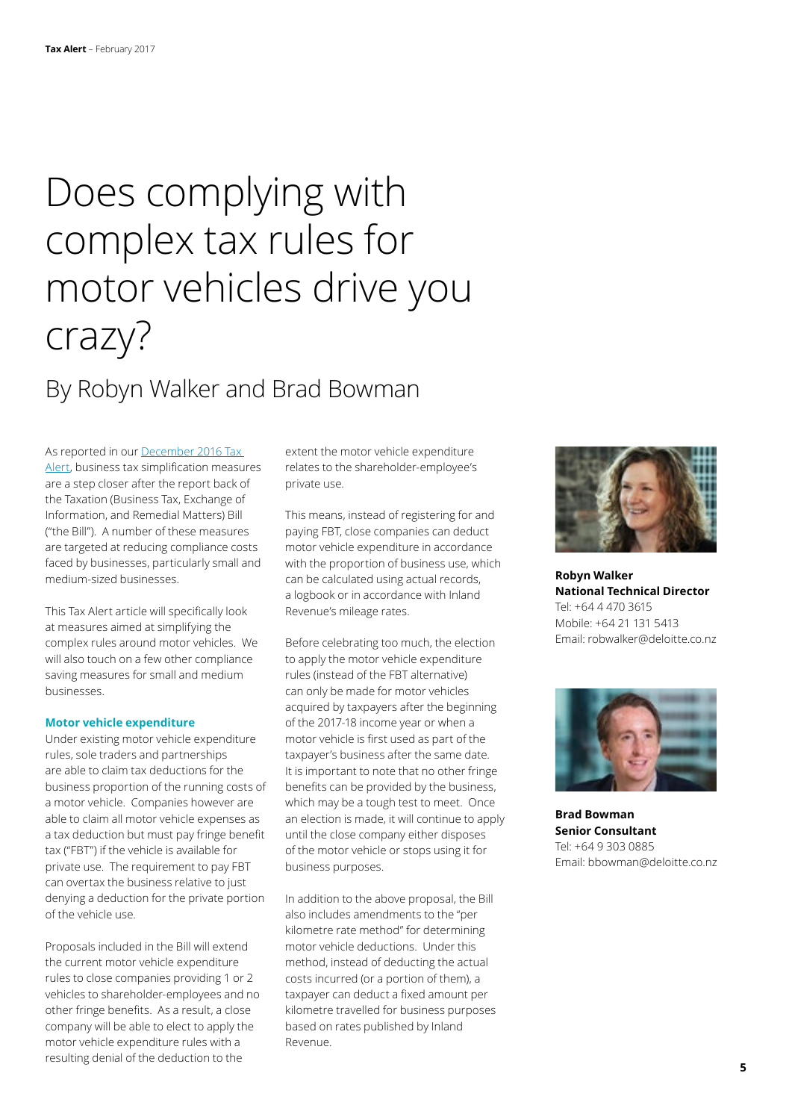# Does complying with complex tax rules for motor vehicles drive you crazy?

### By Robyn Walker and Brad Bowman

As reported in our [December 2016 Tax](https://www2.deloitte.com/nz/en/pages/tax-alerts/articles/business-tax-simplification-measures-are-a-step-closer.html)  [Alert](https://www2.deloitte.com/nz/en/pages/tax-alerts/articles/business-tax-simplification-measures-are-a-step-closer.html), business tax simplification measures are a step closer after the report back of the Taxation (Business Tax, Exchange of Information, and Remedial Matters) Bill ("the Bill"). A number of these measures are targeted at reducing compliance costs faced by businesses, particularly small and medium-sized businesses.

This Tax Alert article will specifically look at measures aimed at simplifying the complex rules around motor vehicles. We will also touch on a few other compliance saving measures for small and medium businesses.

#### **Motor vehicle expenditure**

Under existing motor vehicle expenditure rules, sole traders and partnerships are able to claim tax deductions for the business proportion of the running costs of a motor vehicle. Companies however are able to claim all motor vehicle expenses as a tax deduction but must pay fringe benefit tax ("FBT") if the vehicle is available for private use. The requirement to pay FBT can overtax the business relative to just denying a deduction for the private portion of the vehicle use.

Proposals included in the Bill will extend the current motor vehicle expenditure rules to close companies providing 1 or 2 vehicles to shareholder-employees and no other fringe benefits. As a result, a close company will be able to elect to apply the motor vehicle expenditure rules with a resulting denial of the deduction to the

extent the motor vehicle expenditure relates to the shareholder-employee's private use.

This means, instead of registering for and paying FBT, close companies can deduct motor vehicle expenditure in accordance with the proportion of business use, which can be calculated using actual records, a logbook or in accordance with Inland Revenue's mileage rates.

Before celebrating too much, the election to apply the motor vehicle expenditure rules (instead of the FBT alternative) can only be made for motor vehicles acquired by taxpayers after the beginning of the 2017-18 income year or when a motor vehicle is first used as part of the taxpayer's business after the same date. It is important to note that no other fringe benefits can be provided by the business, which may be a tough test to meet. Once an election is made, it will continue to apply until the close company either disposes of the motor vehicle or stops using it for business purposes.

In addition to the above proposal, the Bill also includes amendments to the "per kilometre rate method" for determining motor vehicle deductions. Under this method, instead of deducting the actual costs incurred (or a portion of them), a taxpayer can deduct a fixed amount per kilometre travelled for business purposes based on rates published by Inland Revenue.



**Robyn Walker National Technical Director** Tel: +64 4 470 3615 Mobile: +64 21 131 5413 Email: robwalker@deloitte.co.nz



**Brad Bowman Senior Consultant** Tel: +64 9 303 0885 Email: bbowman@deloitte.co.nz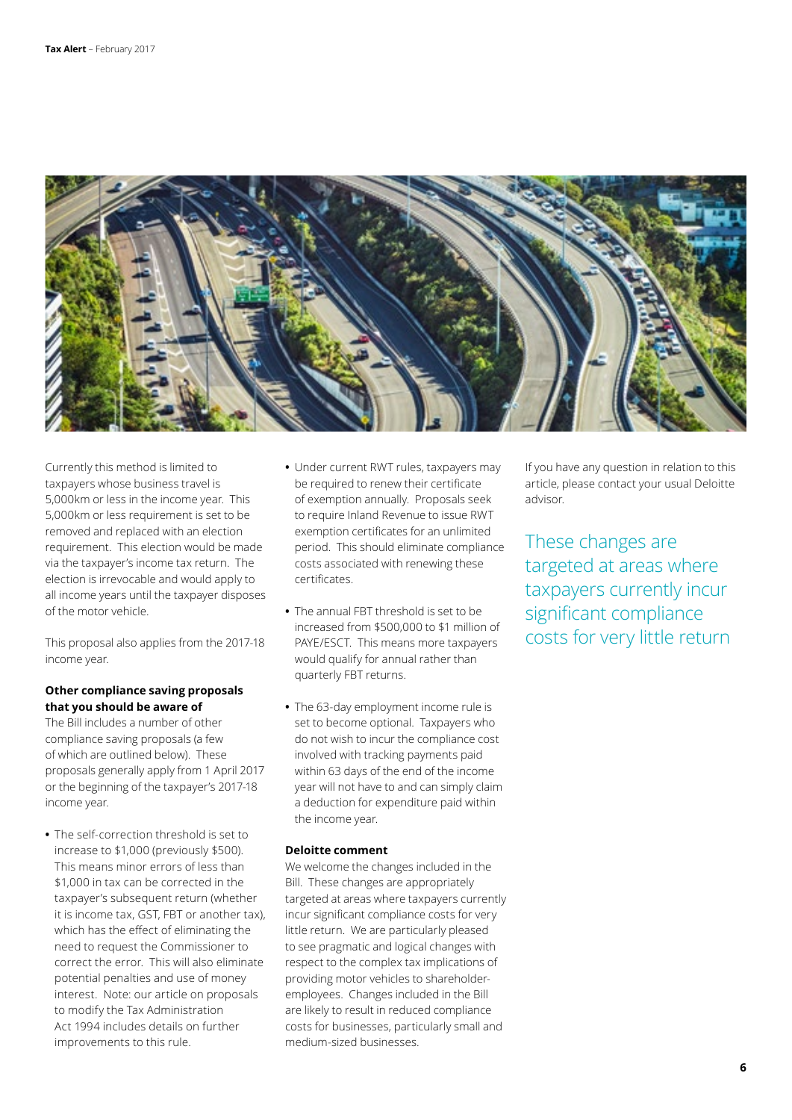

Currently this method is limited to taxpayers whose business travel is 5,000km or less in the income year. This 5,000km or less requirement is set to be removed and replaced with an election requirement. This election would be made via the taxpayer's income tax return. The election is irrevocable and would apply to all income years until the taxpayer disposes of the motor vehicle.

This proposal also applies from the 2017-18 income year.

### **Other compliance saving proposals that you should be aware of**

The Bill includes a number of other compliance saving proposals (a few of which are outlined below). These proposals generally apply from 1 April 2017 or the beginning of the taxpayer's 2017-18 income year.

**•** The self-correction threshold is set to increase to \$1,000 (previously \$500). This means minor errors of less than \$1,000 in tax can be corrected in the taxpayer's subsequent return (whether it is income tax, GST, FBT or another tax), which has the effect of eliminating the need to request the Commissioner to correct the error. This will also eliminate potential penalties and use of money interest. Note: our article on proposals to modify the Tax Administration Act 1994 includes details on further improvements to this rule.

- **•** Under current RWT rules, taxpayers may be required to renew their certificate of exemption annually. Proposals seek to require Inland Revenue to issue RWT exemption certificates for an unlimited period. This should eliminate compliance costs associated with renewing these certificates.
- **•** The annual FBT threshold is set to be increased from \$500,000 to \$1 million of PAYE/ESCT. This means more taxpayers would qualify for annual rather than quarterly FBT returns.
- **•** The 63-day employment income rule is set to become optional. Taxpayers who do not wish to incur the compliance cost involved with tracking payments paid within 63 days of the end of the income year will not have to and can simply claim a deduction for expenditure paid within the income year.

### **Deloitte comment**

We welcome the changes included in the Bill. These changes are appropriately targeted at areas where taxpayers currently incur significant compliance costs for very little return. We are particularly pleased to see pragmatic and logical changes with respect to the complex tax implications of providing motor vehicles to shareholderemployees. Changes included in the Bill are likely to result in reduced compliance costs for businesses, particularly small and medium-sized businesses.

If you have any question in relation to this article, please contact your usual Deloitte advisor.

These changes are targeted at areas where taxpayers currently incur significant compliance costs for very little return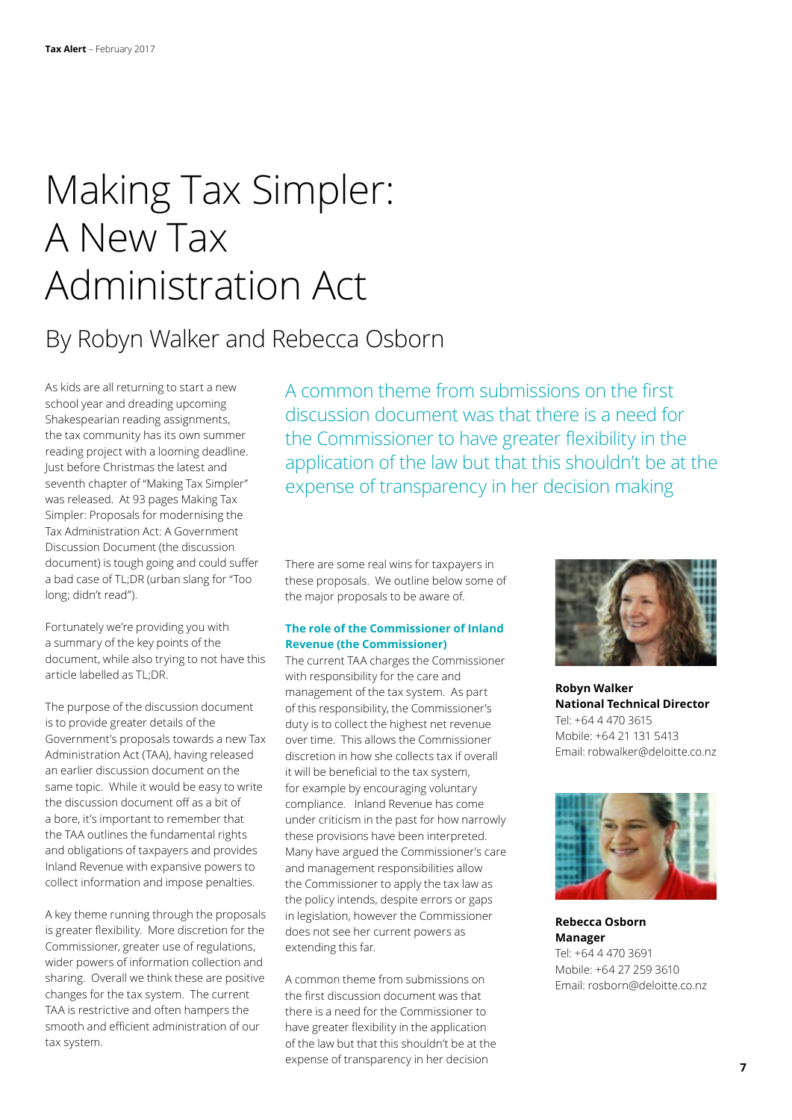# Making Tax Simpler: A New Tax Administration Act

### By Robyn Walker and Rebecca Osborn

As kids are all returning to start a new school year and dreading upcoming Shakespearian reading assignments, the tax community has its own summer reading project with a looming deadline. Just before Christmas the latest and seventh chapter of "Making Tax Simpler" was released. At 93 pages Making Tax Simpler: Proposals for modernising the Tax Administration Act: A Government Discussion Document (the discussion document) is tough going and could suffer a bad case of TL;DR (urban slang for "Too long; didn't read").

Fortunately we're providing you with a summary of the key points of the document, while also trying to not have this article labelled as TL;DR.

The purpose of the discussion document is to provide greater details of the Government's proposals towards a new Tax Administration Act (TAA), having released an earlier discussion document on the same topic. While it would be easy to write the discussion document off as a bit of a bore, it's important to remember that the TAA outlines the fundamental rights and obligations of taxpayers and provides Inland Revenue with expansive powers to collect information and impose penalties.

A key theme running through the proposals is greater flexibility. More discretion for the Commissioner, greater use of regulations, wider powers of information collection and sharing. Overall we think these are positive changes for the tax system. The current TAA is restrictive and often hampers the smooth and efficient administration of our tax system.

A common theme from submissions on the first discussion document was that there is a need for the Commissioner to have greater flexibility in the application of the law but that this shouldn't be at the expense of transparency in her decision making

There are some real wins for taxpayers in these proposals. We outline below some of the major proposals to be aware of.

### **The role of the Commissioner of Inland Revenue (the Commissioner)**

The current TAA charges the Commissioner with responsibility for the care and management of the tax system. As part of this responsibility, the Commissioner's duty is to collect the highest net revenue over time. This allows the Commissioner discretion in how she collects tax if overall it will be beneficial to the tax system, for example by encouraging voluntary compliance. Inland Revenue has come under criticism in the past for how narrowly these provisions have been interpreted. Many have argued the Commissioner's care and management responsibilities allow the Commissioner to apply the tax law as the policy intends, despite errors or gaps in legislation, however the Commissioner does not see her current powers as extending this far.

A common theme from submissions on the first discussion document was that there is a need for the Commissioner to have greater flexibility in the application of the law but that this shouldn't be at the expense of transparency in her decision



**Robyn Walker National Technical Director** Tel: +64 4 470 3615 Mobile: +64 21 131 5413 Email: robwalker@deloitte.co.nz



**Rebecca Osborn Manager** Tel: +64 4 470 3691 Mobile: +64 27 259 3610 Email: rosborn@deloitte.co.nz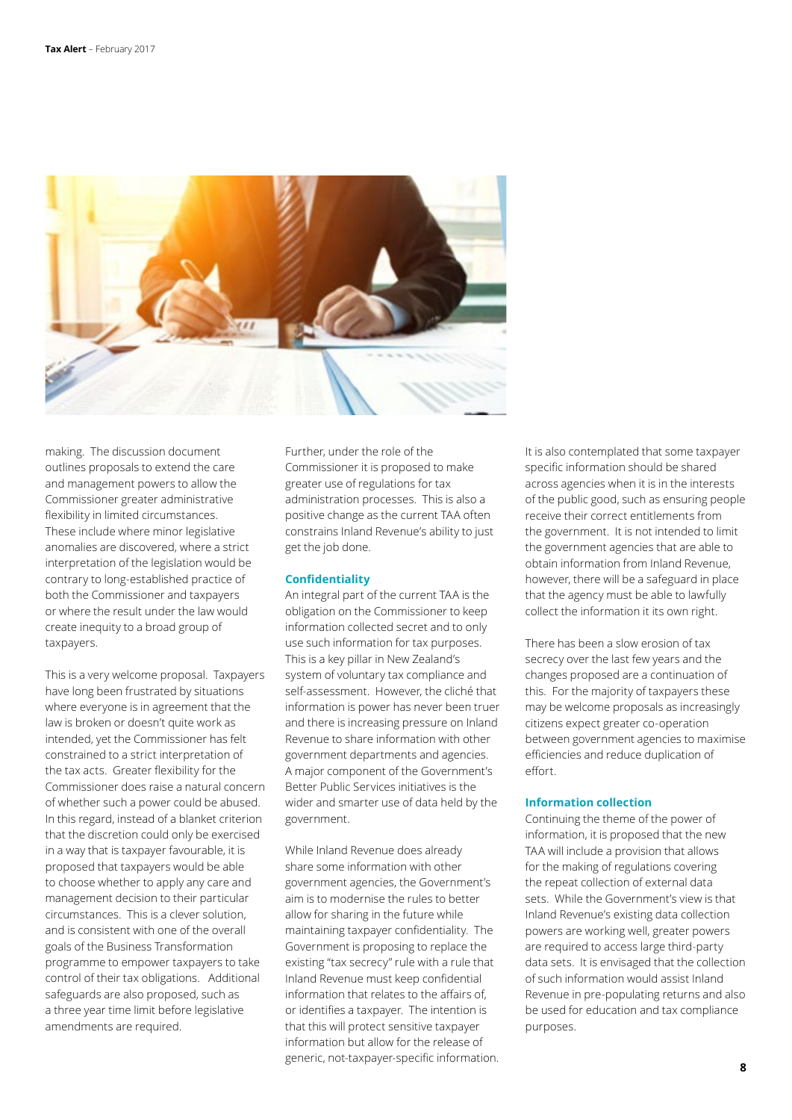

making. The discussion document outlines proposals to extend the care and management powers to allow the Commissioner greater administrative flexibility in limited circumstances. These include where minor legislative anomalies are discovered, where a strict interpretation of the legislation would be contrary to long-established practice of both the Commissioner and taxpayers or where the result under the law would create inequity to a broad group of taxpayers.

This is a very welcome proposal. Taxpayers have long been frustrated by situations where everyone is in agreement that the law is broken or doesn't quite work as intended, yet the Commissioner has felt constrained to a strict interpretation of the tax acts. Greater flexibility for the Commissioner does raise a natural concern of whether such a power could be abused. In this regard, instead of a blanket criterion that the discretion could only be exercised in a way that is taxpayer favourable, it is proposed that taxpayers would be able to choose whether to apply any care and management decision to their particular circumstances. This is a clever solution, and is consistent with one of the overall goals of the Business Transformation programme to empower taxpayers to take control of their tax obligations. Additional safeguards are also proposed, such as a three year time limit before legislative amendments are required.

Further, under the role of the Commissioner it is proposed to make greater use of regulations for tax administration processes. This is also a positive change as the current TAA often constrains Inland Revenue's ability to just get the job done.

### **Confidentiality**

An integral part of the current TAA is the obligation on the Commissioner to keep information collected secret and to only use such information for tax purposes. This is a key pillar in New Zealand's system of voluntary tax compliance and self-assessment. However, the cliché that information is power has never been truer and there is increasing pressure on Inland Revenue to share information with other government departments and agencies. A major component of the Government's Better Public Services initiatives is the wider and smarter use of data held by the government.

While Inland Revenue does already share some information with other government agencies, the Government's aim is to modernise the rules to better allow for sharing in the future while maintaining taxpayer confidentiality. The Government is proposing to replace the existing "tax secrecy" rule with a rule that Inland Revenue must keep confidential information that relates to the affairs of, or identifies a taxpayer. The intention is that this will protect sensitive taxpayer information but allow for the release of generic, not-taxpayer-specific information. It is also contemplated that some taxpayer specific information should be shared across agencies when it is in the interests of the public good, such as ensuring people receive their correct entitlements from the government. It is not intended to limit the government agencies that are able to obtain information from Inland Revenue, however, there will be a safeguard in place that the agency must be able to lawfully collect the information it its own right.

There has been a slow erosion of tax secrecy over the last few years and the changes proposed are a continuation of this. For the majority of taxpayers these may be welcome proposals as increasingly citizens expect greater co-operation between government agencies to maximise efficiencies and reduce duplication of effort.

#### **Information collection**

Continuing the theme of the power of information, it is proposed that the new TAA will include a provision that allows for the making of regulations covering the repeat collection of external data sets. While the Government's view is that Inland Revenue's existing data collection powers are working well, greater powers are required to access large third-party data sets. It is envisaged that the collection of such information would assist Inland Revenue in pre-populating returns and also be used for education and tax compliance purposes.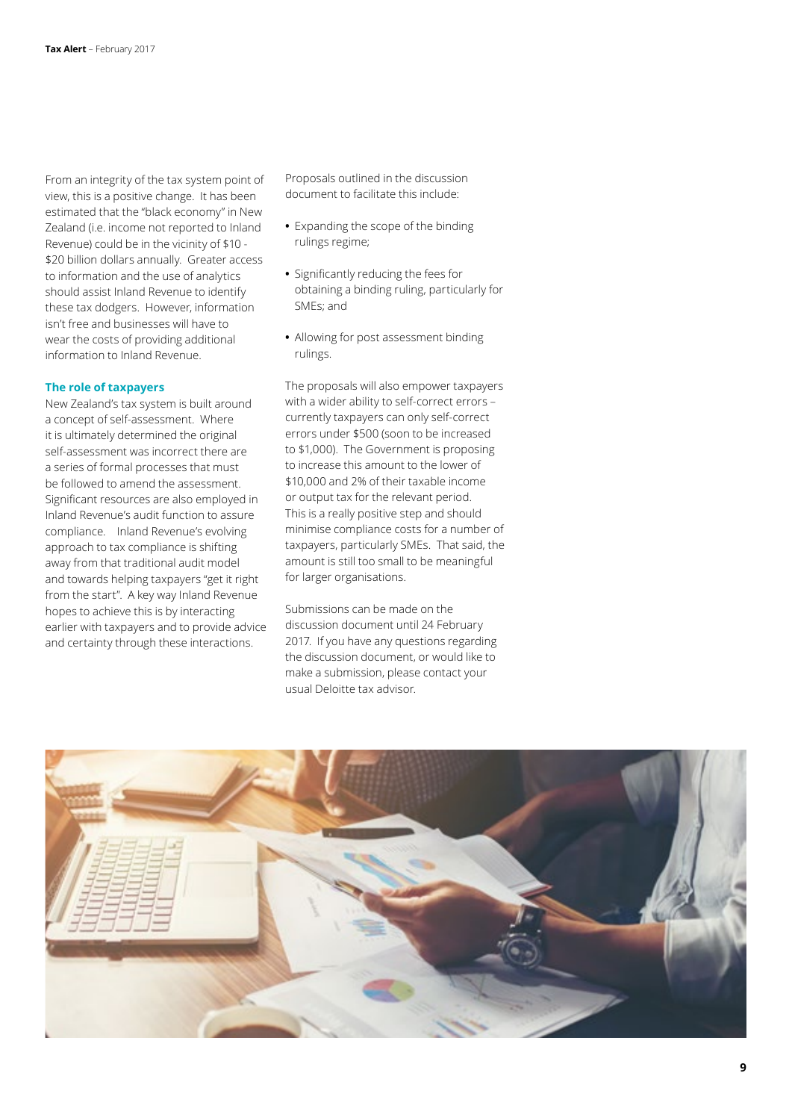From an integrity of the tax system point of view, this is a positive change. It has been estimated that the "black economy" in New Zealand (i.e. income not reported to Inland Revenue) could be in the vicinity of \$10 - \$20 billion dollars annually. Greater access to information and the use of analytics should assist Inland Revenue to identify these tax dodgers. However, information isn't free and businesses will have to wear the costs of providing additional information to Inland Revenue.

#### **The role of taxpayers**

New Zealand's tax system is built around a concept of self-assessment. Where it is ultimately determined the original self-assessment was incorrect there are a series of formal processes that must be followed to amend the assessment. Significant resources are also employed in Inland Revenue's audit function to assure compliance. Inland Revenue's evolving approach to tax compliance is shifting away from that traditional audit model and towards helping taxpayers "get it right from the start". A key way Inland Revenue hopes to achieve this is by interacting earlier with taxpayers and to provide advice and certainty through these interactions.

Proposals outlined in the discussion document to facilitate this include:

- **•** Expanding the scope of the binding rulings regime;
- **•** Significantly reducing the fees for obtaining a binding ruling, particularly for SMEs; and
- **•** Allowing for post assessment binding rulings.

The proposals will also empower taxpayers with a wider ability to self-correct errors – currently taxpayers can only self-correct errors under \$500 (soon to be increased to \$1,000). The Government is proposing to increase this amount to the lower of \$10,000 and 2% of their taxable income or output tax for the relevant period. This is a really positive step and should minimise compliance costs for a number of taxpayers, particularly SMEs. That said, the amount is still too small to be meaningful for larger organisations.

Submissions can be made on the discussion document until 24 February 2017. If you have any questions regarding the discussion document, or would like to make a submission, please contact your usual Deloitte tax advisor.

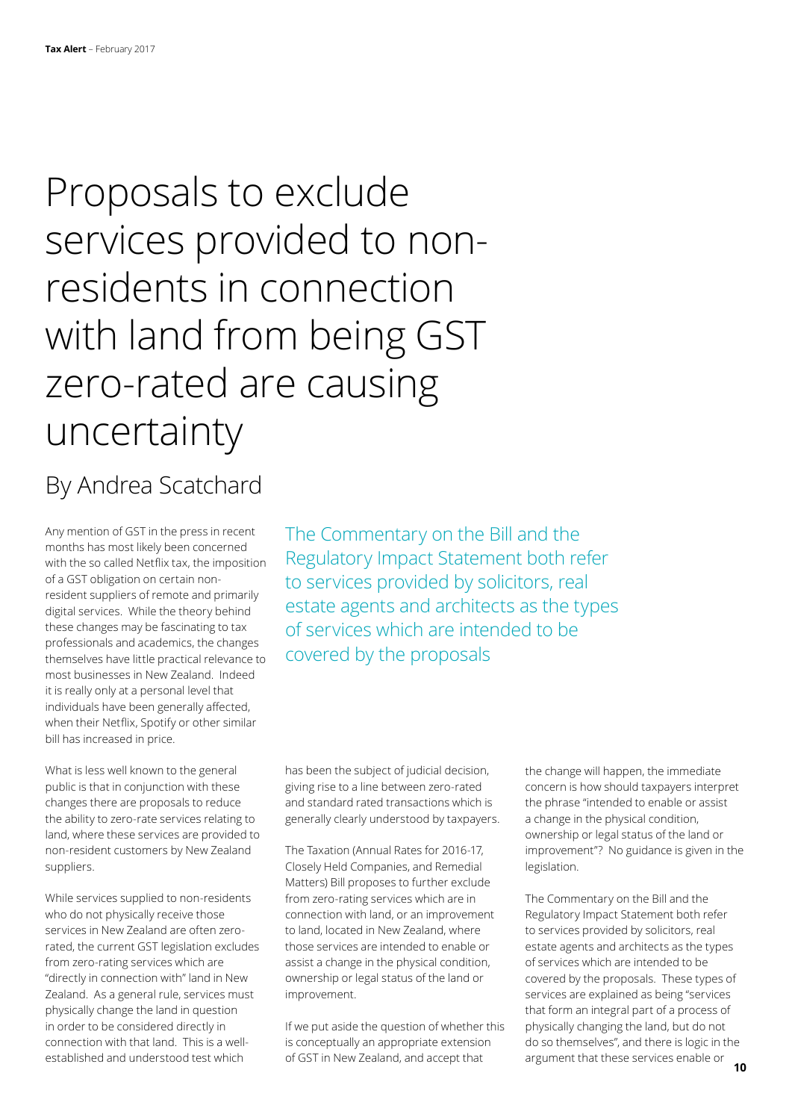## Proposals to exclude services provided to nonresidents in connection with land from being GST zero-rated are causing uncertainty

### By Andrea Scatchard

Any mention of GST in the press in recent months has most likely been concerned with the so called Netflix tax, the imposition of a GST obligation on certain nonresident suppliers of remote and primarily digital services. While the theory behind these changes may be fascinating to tax professionals and academics, the changes themselves have little practical relevance to most businesses in New Zealand. Indeed it is really only at a personal level that individuals have been generally affected, when their Netflix, Spotify or other similar bill has increased in price.

What is less well known to the general public is that in conjunction with these changes there are proposals to reduce the ability to zero-rate services relating to land, where these services are provided to non-resident customers by New Zealand suppliers.

While services supplied to non-residents who do not physically receive those services in New Zealand are often zerorated, the current GST legislation excludes from zero-rating services which are "directly in connection with" land in New Zealand. As a general rule, services must physically change the land in question in order to be considered directly in connection with that land. This is a wellestablished and understood test which

The Commentary on the Bill and the Regulatory Impact Statement both refer to services provided by solicitors, real estate agents and architects as the types of services which are intended to be covered by the proposals

has been the subject of judicial decision, giving rise to a line between zero-rated and standard rated transactions which is generally clearly understood by taxpayers.

The Taxation (Annual Rates for 2016-17, Closely Held Companies, and Remedial Matters) Bill proposes to further exclude from zero-rating services which are in connection with land, or an improvement to land, located in New Zealand, where those services are intended to enable or assist a change in the physical condition, ownership or legal status of the land or improvement.

If we put aside the question of whether this is conceptually an appropriate extension of GST in New Zealand, and accept that

the change will happen, the immediate concern is how should taxpayers interpret the phrase "intended to enable or assist a change in the physical condition, ownership or legal status of the land or improvement"? No guidance is given in the legislation.

The Commentary on the Bill and the Regulatory Impact Statement both refer to services provided by solicitors, real estate agents and architects as the types of services which are intended to be covered by the proposals. These types of services are explained as being "services that form an integral part of a process of physically changing the land, but do not do so themselves", and there is logic in the argument that these services enable or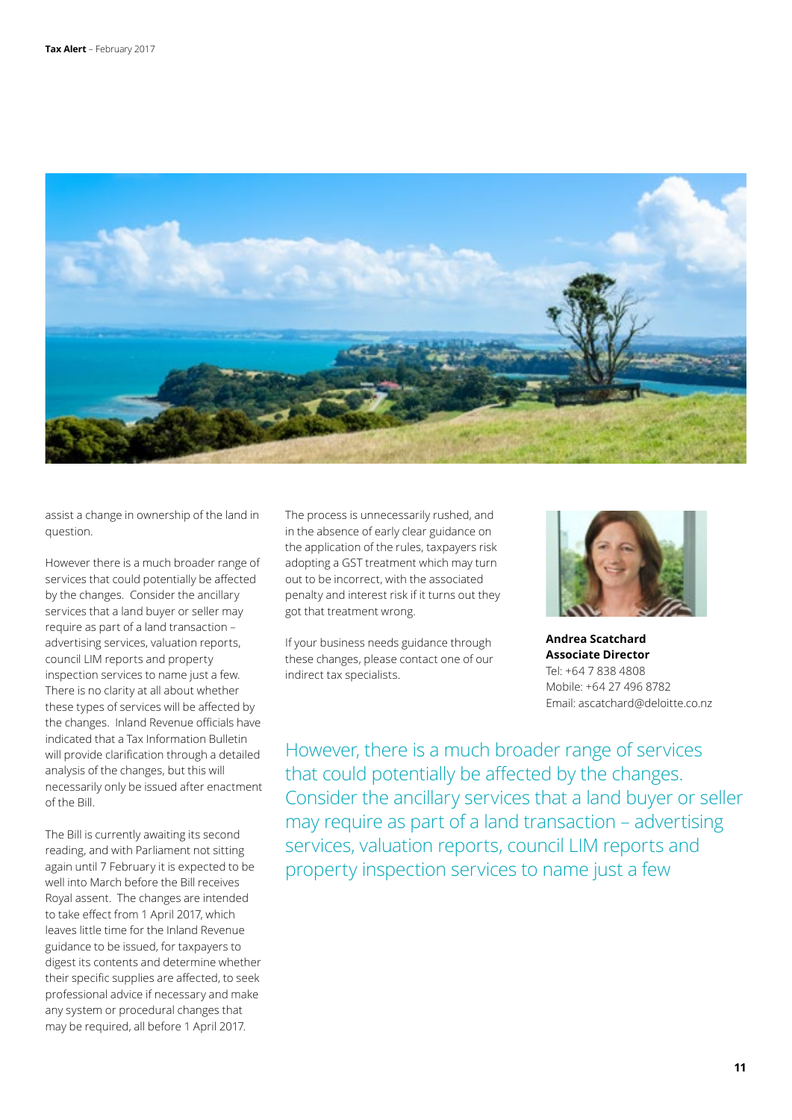

assist a change in ownership of the land in question.

However there is a much broader range of services that could potentially be affected by the changes. Consider the ancillary services that a land buyer or seller may require as part of a land transaction – advertising services, valuation reports, council LIM reports and property inspection services to name just a few. There is no clarity at all about whether these types of services will be affected by the changes. Inland Revenue officials have indicated that a Tax Information Bulletin will provide clarification through a detailed analysis of the changes, but this will necessarily only be issued after enactment of the Bill.

The Bill is currently awaiting its second reading, and with Parliament not sitting again until 7 February it is expected to be well into March before the Bill receives Royal assent. The changes are intended to take effect from 1 April 2017, which leaves little time for the Inland Revenue guidance to be issued, for taxpayers to digest its contents and determine whether their specific supplies are affected, to seek professional advice if necessary and make any system or procedural changes that may be required, all before 1 April 2017.

The process is unnecessarily rushed, and in the absence of early clear guidance on the application of the rules, taxpayers risk adopting a GST treatment which may turn out to be incorrect, with the associated penalty and interest risk if it turns out they got that treatment wrong.

If your business needs guidance through these changes, please contact one of our indirect tax specialists.



**Andrea Scatchard Associate Director** Tel: +64 7 838 4808 Mobile: +64 27 496 8782 Email: ascatchard@deloitte.co.nz

However, there is a much broader range of services that could potentially be affected by the changes. Consider the ancillary services that a land buyer or seller may require as part of a land transaction – advertising services, valuation reports, council LIM reports and property inspection services to name just a few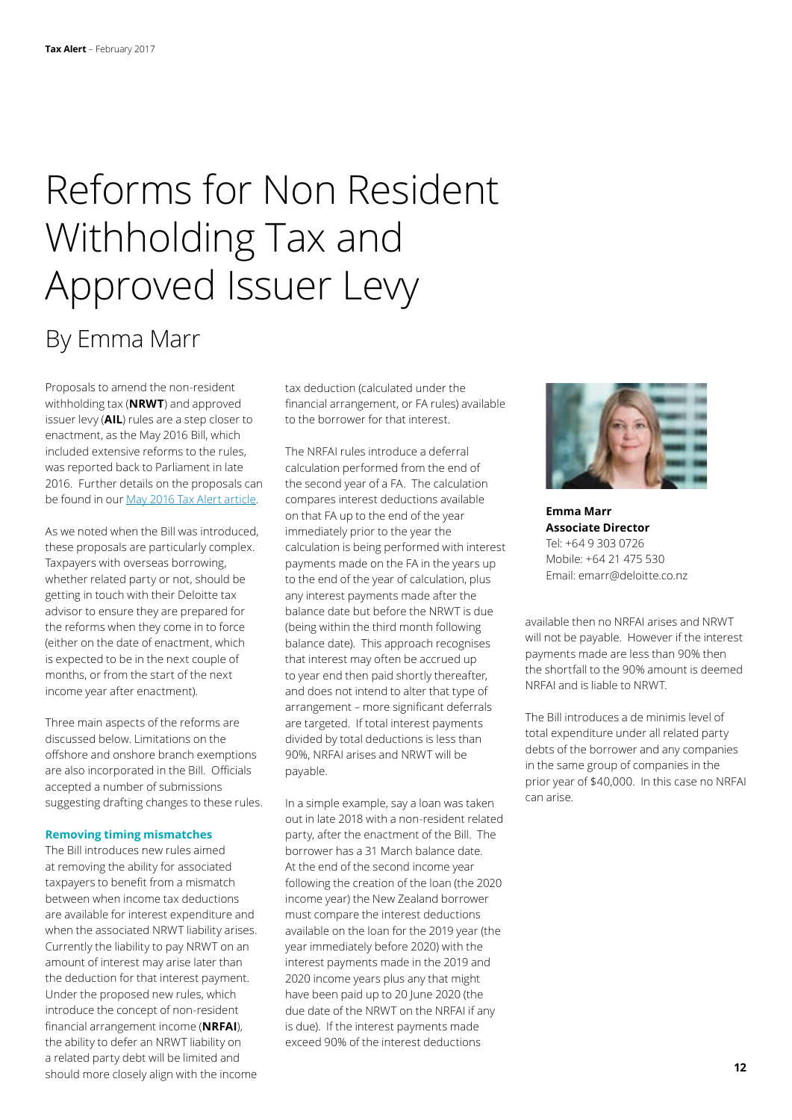# Reforms for Non Resident Withholding Tax and Approved Issuer Levy

### By Emma Marr

Proposals to amend the non-resident withholding tax (**NRWT**) and approved issuer levy (**AIL**) rules are a step closer to enactment, as the May 2016 Bill, which included extensive reforms to the rules, was reported back to Parliament in late 2016. Further details on the proposals can be found in our [May 2016 Tax Alert article](https://www2.deloitte.com/nz/en/pages/tax-alerts/articles/tax-bill-reforms-galore.html?id=nz:2em:3cm:4taxalert:5awa:6taxalertmay16).

As we noted when the Bill was introduced, these proposals are particularly complex. Taxpayers with overseas borrowing, whether related party or not, should be getting in touch with their Deloitte tax advisor to ensure they are prepared for the reforms when they come in to force (either on the date of enactment, which is expected to be in the next couple of months, or from the start of the next income year after enactment).

Three main aspects of the reforms are discussed below. Limitations on the offshore and onshore branch exemptions are also incorporated in the Bill. Officials accepted a number of submissions suggesting drafting changes to these rules.

#### **Removing timing mismatches**

The Bill introduces new rules aimed at removing the ability for associated taxpayers to benefit from a mismatch between when income tax deductions are available for interest expenditure and when the associated NRWT liability arises. Currently the liability to pay NRWT on an amount of interest may arise later than the deduction for that interest payment. Under the proposed new rules, which introduce the concept of non-resident financial arrangement income (**NRFAI**), the ability to defer an NRWT liability on a related party debt will be limited and should more closely align with the income tax deduction (calculated under the financial arrangement, or FA rules) available to the borrower for that interest.

The NRFAI rules introduce a deferral calculation performed from the end of the second year of a FA. The calculation compares interest deductions available on that FA up to the end of the year immediately prior to the year the calculation is being performed with interest payments made on the FA in the years up to the end of the year of calculation, plus any interest payments made after the balance date but before the NRWT is due (being within the third month following balance date). This approach recognises that interest may often be accrued up to year end then paid shortly thereafter, and does not intend to alter that type of arrangement – more significant deferrals are targeted. If total interest payments divided by total deductions is less than 90%, NRFAI arises and NRWT will be payable.

In a simple example, say a loan was taken out in late 2018 with a non-resident related party, after the enactment of the Bill. The borrower has a 31 March balance date. At the end of the second income year following the creation of the loan (the 2020 income year) the New Zealand borrower must compare the interest deductions available on the loan for the 2019 year (the year immediately before 2020) with the interest payments made in the 2019 and 2020 income years plus any that might have been paid up to 20 June 2020 (the due date of the NRWT on the NRFAI if any is due). If the interest payments made exceed 90% of the interest deductions



**Emma Marr Associate Director** Tel: +64 9 303 0726 Mobile: +64 21 475 530 Email: emarr@deloitte.co.nz

available then no NRFAI arises and NRWT will not be payable. However if the interest payments made are less than 90% then the shortfall to the 90% amount is deemed NRFAI and is liable to NRWT.

The Bill introduces a de minimis level of total expenditure under all related party debts of the borrower and any companies in the same group of companies in the prior year of \$40,000. In this case no NRFAI can arise.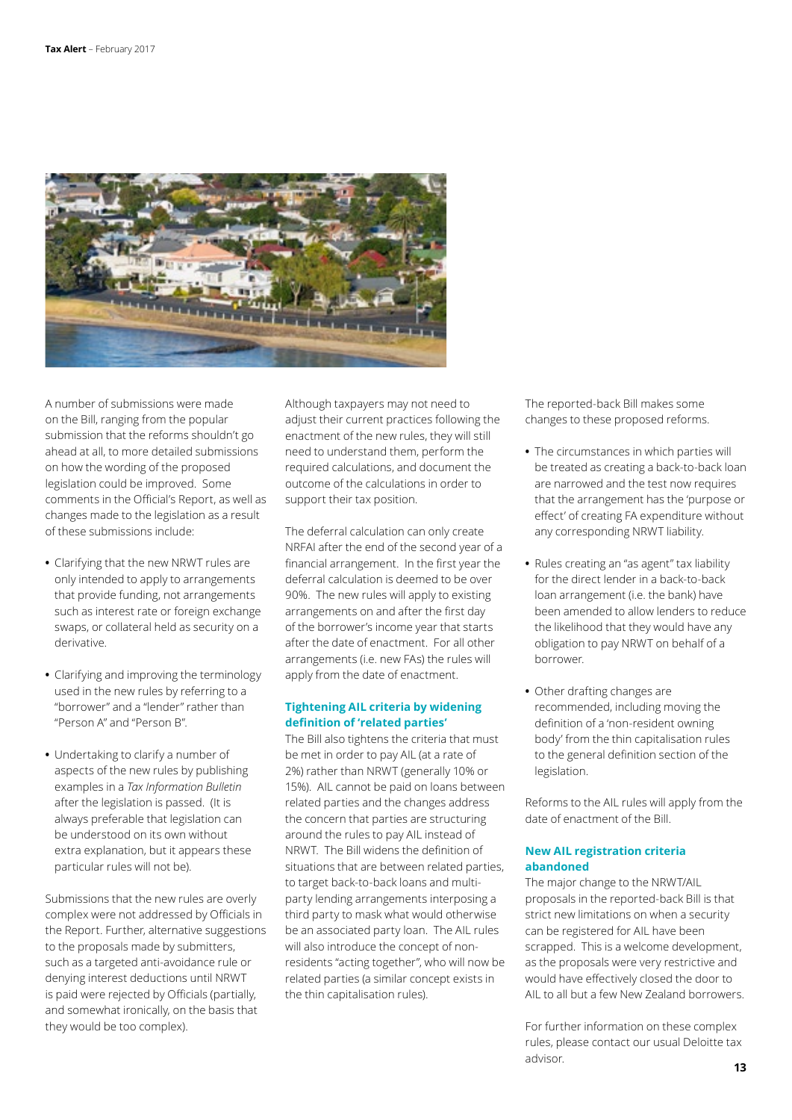

A number of submissions were made on the Bill, ranging from the popular submission that the reforms shouldn't go ahead at all, to more detailed submissions on how the wording of the proposed legislation could be improved. Some comments in the Official's Report, as well as changes made to the legislation as a result of these submissions include:

- **•** Clarifying that the new NRWT rules are only intended to apply to arrangements that provide funding, not arrangements such as interest rate or foreign exchange swaps, or collateral held as security on a derivative.
- **•** Clarifying and improving the terminology used in the new rules by referring to a "borrower" and a "lender" rather than "Person A" and "Person B".
- **•** Undertaking to clarify a number of aspects of the new rules by publishing examples in a *Tax Information Bulletin* after the legislation is passed. (It is always preferable that legislation can be understood on its own without extra explanation, but it appears these particular rules will not be).

Submissions that the new rules are overly complex were not addressed by Officials in the Report. Further, alternative suggestions to the proposals made by submitters, such as a targeted anti-avoidance rule or denying interest deductions until NRWT is paid were rejected by Officials (partially, and somewhat ironically, on the basis that they would be too complex).

Although taxpayers may not need to adjust their current practices following the enactment of the new rules, they will still need to understand them, perform the required calculations, and document the outcome of the calculations in order to support their tax position.

The deferral calculation can only create NRFAI after the end of the second year of a financial arrangement. In the first year the deferral calculation is deemed to be over 90%. The new rules will apply to existing arrangements on and after the first day of the borrower's income year that starts after the date of enactment. For all other arrangements (i.e. new FAs) the rules will apply from the date of enactment.

### **Tightening AIL criteria by widening definition of 'related parties'**

The Bill also tightens the criteria that must be met in order to pay AIL (at a rate of 2%) rather than NRWT (generally 10% or 15%). AIL cannot be paid on loans between related parties and the changes address the concern that parties are structuring around the rules to pay AIL instead of NRWT. The Bill widens the definition of situations that are between related parties, to target back-to-back loans and multiparty lending arrangements interposing a third party to mask what would otherwise be an associated party loan. The AIL rules will also introduce the concept of nonresidents "acting together", who will now be related parties (a similar concept exists in the thin capitalisation rules).

The reported-back Bill makes some changes to these proposed reforms.

- **•** The circumstances in which parties will be treated as creating a back-to-back loan are narrowed and the test now requires that the arrangement has the 'purpose or effect' of creating FA expenditure without any corresponding NRWT liability.
- **•** Rules creating an "as agent" tax liability for the direct lender in a back-to-back loan arrangement (i.e. the bank) have been amended to allow lenders to reduce the likelihood that they would have any obligation to pay NRWT on behalf of a borrower.
- **•** Other drafting changes are recommended, including moving the definition of a 'non-resident owning body' from the thin capitalisation rules to the general definition section of the legislation.

Reforms to the AIL rules will apply from the date of enactment of the Bill.

### **New AIL registration criteria abandoned**

The major change to the NRWT/AIL proposals in the reported-back Bill is that strict new limitations on when a security can be registered for AIL have been scrapped. This is a welcome development, as the proposals were very restrictive and would have effectively closed the door to AIL to all but a few New Zealand borrowers.

For further information on these complex rules, please contact our usual Deloitte tax advisor.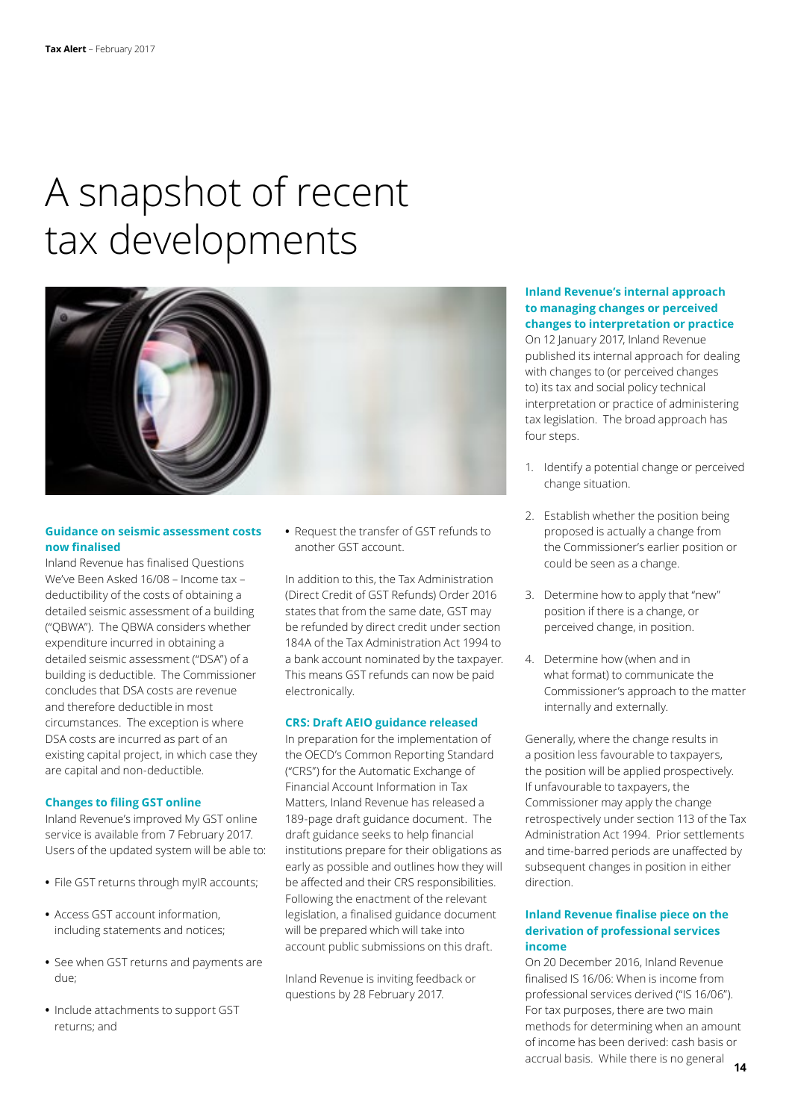### A snapshot of recent tax developments



### **Guidance on seismic assessment costs now finalised**

Inland Revenue has finalised Questions We've Been Asked 16/08 – Income tax – deductibility of the costs of obtaining a detailed seismic assessment of a building ("QBWA"). The QBWA considers whether expenditure incurred in obtaining a detailed seismic assessment ("DSA") of a building is deductible. The Commissioner concludes that DSA costs are revenue and therefore deductible in most circumstances. The exception is where DSA costs are incurred as part of an existing capital project, in which case they are capital and non-deductible.

### **Changes to filing GST online**

Inland Revenue's improved My GST online service is available from 7 February 2017. Users of the updated system will be able to:

- **•** File GST returns through myIR accounts;
- **•** Access GST account information, including statements and notices;
- **•** See when GST returns and payments are due;
- **•** Include attachments to support GST returns; and

**•** Request the transfer of GST refunds to another GST account.

In addition to this, the Tax Administration (Direct Credit of GST Refunds) Order 2016 states that from the same date, GST may be refunded by direct credit under section 184A of the Tax Administration Act 1994 to a bank account nominated by the taxpayer. This means GST refunds can now be paid electronically.

### **CRS: Draft AEIO guidance released**

In preparation for the implementation of the OECD's Common Reporting Standard ("CRS") for the Automatic Exchange of Financial Account Information in Tax Matters, Inland Revenue has released a 189-page draft guidance document. The draft guidance seeks to help financial institutions prepare for their obligations as early as possible and outlines how they will be affected and their CRS responsibilities. Following the enactment of the relevant legislation, a finalised guidance document will be prepared which will take into account public submissions on this draft.

Inland Revenue is inviting feedback or questions by 28 February 2017.

### **Inland Revenue's internal approach to managing changes or perceived changes to interpretation or practice**

On 12 January 2017, Inland Revenue published its internal approach for dealing with changes to (or perceived changes to) its tax and social policy technical interpretation or practice of administering tax legislation. The broad approach has four steps.

- 1. Identify a potential change or perceived change situation.
- 2. Establish whether the position being proposed is actually a change from the Commissioner's earlier position or could be seen as a change.
- 3. Determine how to apply that "new" position if there is a change, or perceived change, in position.
- 4. Determine how (when and in what format) to communicate the Commissioner's approach to the matter internally and externally.

Generally, where the change results in a position less favourable to taxpayers, the position will be applied prospectively. If unfavourable to taxpayers, the Commissioner may apply the change retrospectively under section 113 of the Tax Administration Act 1994. Prior settlements and time-barred periods are unaffected by subsequent changes in position in either direction.

### **Inland Revenue finalise piece on the derivation of professional services income**

On 20 December 2016, Inland Revenue finalised IS 16/06: When is income from professional services derived ("IS 16/06"). For tax purposes, there are two main methods for determining when an amount of income has been derived: cash basis or accrual basis. While there is no general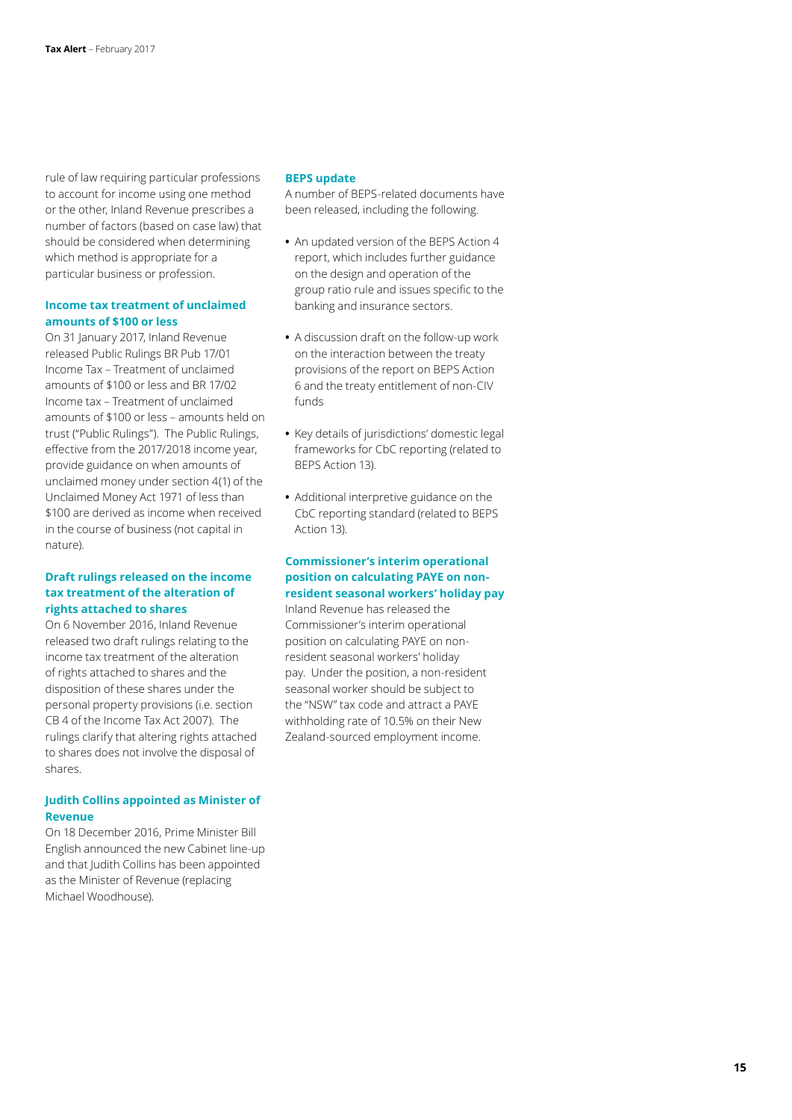rule of law requiring particular professions to account for income using one method or the other, Inland Revenue prescribes a number of factors (based on case law) that should be considered when determining which method is appropriate for a particular business or profession.

#### **Income tax treatment of unclaimed amounts of \$100 or less**

On 31 January 2017, Inland Revenue released Public Rulings BR Pub 17/01 Income Tax – Treatment of unclaimed amounts of \$100 or less and BR 17/02 Income tax – Treatment of unclaimed amounts of \$100 or less – amounts held on trust ("Public Rulings"). The Public Rulings, effective from the 2017/2018 income year, provide guidance on when amounts of unclaimed money under section 4(1) of the Unclaimed Money Act 1971 of less than \$100 are derived as income when received in the course of business (not capital in nature).

### **Draft rulings released on the income tax treatment of the alteration of rights attached to shares**

On 6 November 2016, Inland Revenue released two draft rulings relating to the income tax treatment of the alteration of rights attached to shares and the disposition of these shares under the personal property provisions (i.e. section CB 4 of the Income Tax Act 2007). The rulings clarify that altering rights attached to shares does not involve the disposal of shares.

### **Judith Collins appointed as Minister of Revenue**

On 18 December 2016, Prime Minister Bill English announced the new Cabinet line-up and that Judith Collins has been appointed as the Minister of Revenue (replacing Michael Woodhouse).

#### **BEPS update**

A number of BEPS-related documents have been released, including the following.

- **•** An updated version of the BEPS Action 4 report, which includes further guidance on the design and operation of the group ratio rule and issues specific to the banking and insurance sectors.
- **•** A discussion draft on the follow-up work on the interaction between the treaty provisions of the report on BEPS Action 6 and the treaty entitlement of non-CIV funds
- **•** Key details of jurisdictions' domestic legal frameworks for CbC reporting (related to BEPS Action 13).
- **•** Additional interpretive guidance on the CbC reporting standard (related to BEPS Action 13).

### **Commissioner's interim operational position on calculating PAYE on nonresident seasonal workers' holiday pay**

Inland Revenue has released the Commissioner's interim operational position on calculating PAYE on nonresident seasonal workers' holiday pay. Under the position, a non-resident seasonal worker should be subject to the "NSW" tax code and attract a PAYE withholding rate of 10.5% on their New Zealand-sourced employment income.